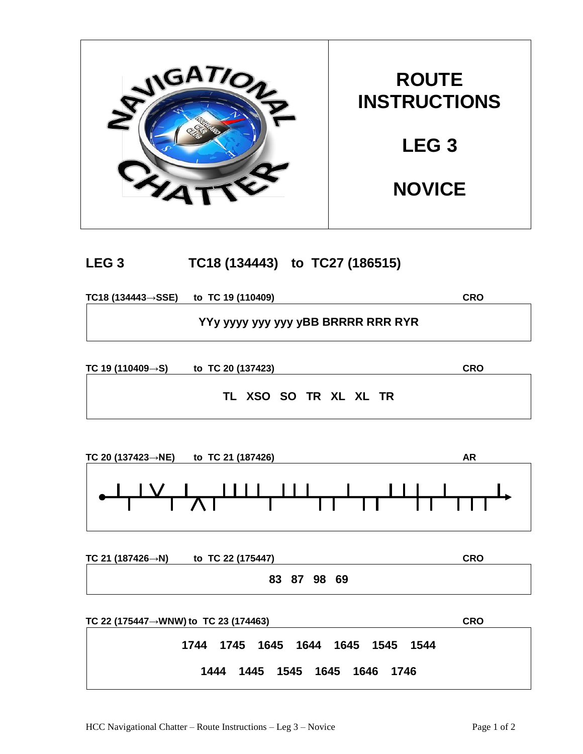

## **LEG 3 TC18 (134443) to TC27 (186515)**

**TC18 (134443→SSE) to TC 19 (110409) CRO**

**YYy yyyy yyy yyy yBB BRRRR RRR RYR**

**TC 19 (110409→S) to TC 20 (137423) CRO**

**TL XSO SO TR XL XL TR**

| TC 20 (137423 $\rightarrow$ NE)<br>to TC 21 (187426)                                                                                                                                                                                                                                                                                                                                                                                                                                            | AR |
|-------------------------------------------------------------------------------------------------------------------------------------------------------------------------------------------------------------------------------------------------------------------------------------------------------------------------------------------------------------------------------------------------------------------------------------------------------------------------------------------------|----|
| $\begin{tabular}{c} \multicolumn{1}{c} {\textbf{1}} & \multicolumn{1}{c} {\textbf{1}} & \multicolumn{1}{c} {\textbf{1}} \\ \multicolumn{1}{c} {\textbf{1}} & \multicolumn{1}{c} {\textbf{1}} & \multicolumn{1}{c} {\textbf{1}} \\ \multicolumn{1}{c} {\textbf{1}} & \multicolumn{1}{c} {\textbf{1}} & \multicolumn{1}{c} {\textbf{1}} \\ \multicolumn{1}{c} {\textbf{1}} & \multicolumn{1}{c} {\textbf{1}} & \multicolumn{1}{c} {\textbf{1}} \\ \multicolumn{1}{c} {\textbf{1}} & \multicolumn$ | .  |

| TC 21 (187426 $\rightarrow$ N) | to TC 22 (175447) | <b>CRO</b> |
|--------------------------------|-------------------|------------|
|                                | 83 87 98 69       |            |

| TC 22 (175447 $\rightarrow$ WNW) to TC 23 (174463) | <b>CRO</b> |
|----------------------------------------------------|------------|
| 1744 1745 1645 1644 1645 1545 1544                 |            |
| 1444 1445 1545 1645 1646 1746                      |            |